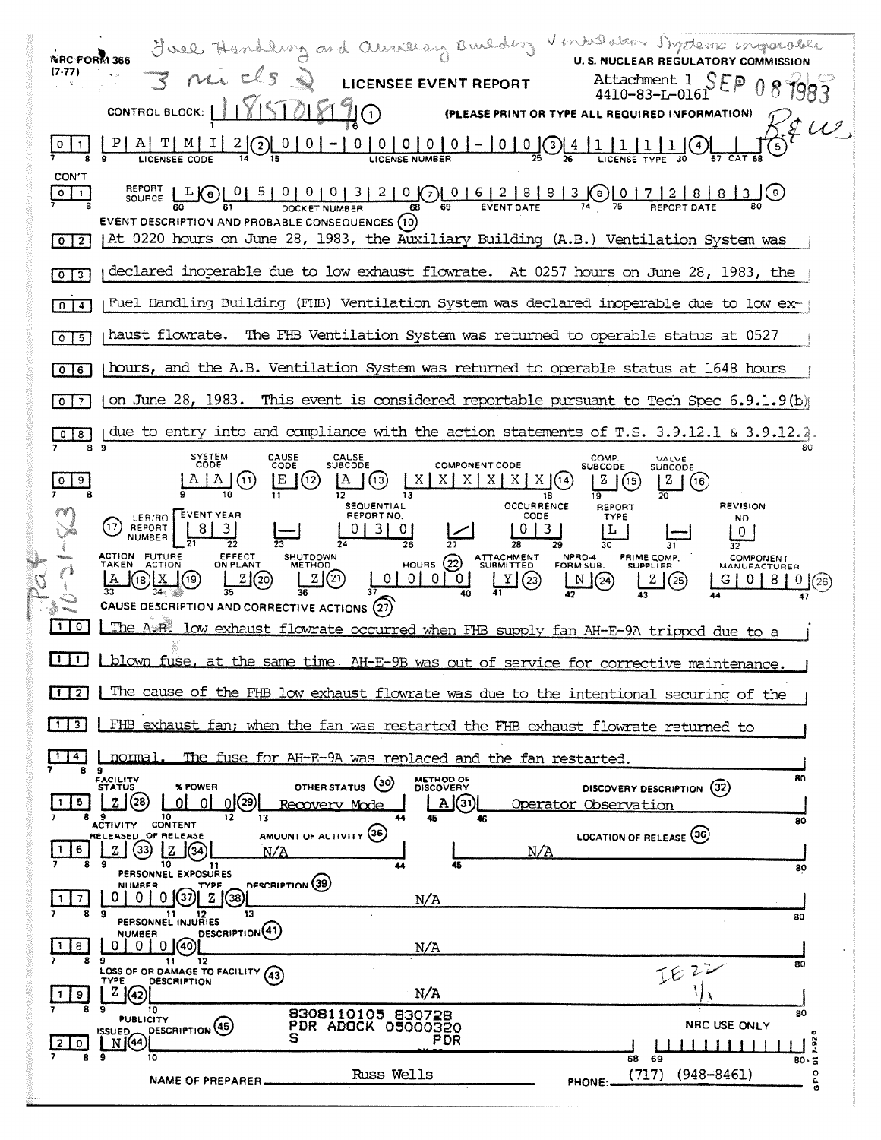| $\overrightarrow{S}$ $\overrightarrow{V}$ $\overrightarrow{S}$ LICENSEE EVENT REPORT Attachment 1 SEP<br>(7-77)<br>CONTROL BLOCK: 118151018190<br>(PLEASE PRINT OR TYPE ALL REQUIRED INFORMATION)<br>CON'T<br>$O \mid 1$<br>EVENT DESCRIPTION AND PROBABLE CONSEQUENCES (10)<br>  At 0220 hours on June 28, 1983, the Auxiliary Building (A.B.) Ventilation System was<br>$\mathbf 0$<br>$\overline{2}$<br>declared inoperable due to low exhaust flowrate. At 0257 hours on June 28, 1983, the<br>3<br>$\circ$<br>Fuel Handling Building (FHB) Ventilation System was declared inoperable due to low ex-<br>$\Omega$<br>4<br>haust flowrate.<br>The FHB Ventilation System was returned to operable status at 0527<br>5<br>$\circ$<br>hours, and the A.B. Ventilation System was returned to operable status at 1648 hours<br>6<br>$\circ$<br>on June 28, 1983. This event is considered reportable pursuant to Tech Spec $6.9.1.9(b)$<br>0<br>due to entry into and compliance with the action statements of T.S. 3.9.12.1 & 3.9.12.2.<br>8<br>89<br>SYSTEM<br>CODE<br>CAUSE<br>CAUSE<br>SUBCODE<br>COMP.<br>VALVE<br>CODE<br><b>COMPONENT CODE</b><br><b>SUBCODE</b><br>SUBCODE<br>E'(2)<br>$\Delta$ (13)<br>$\mid$ X $\mid$ X $\mid$ X $\mid$ X $\mid$ (14)<br>(11)<br> X X <br>  (15)<br>$\vert$ (16)<br>18<br><b>SEQUENTIAL</b><br><b>OCCURRENCE</b><br><b>REVISION</b><br><b>REPORT</b><br>LER/RO EVENT YEAR<br>REPORT NO.<br>CODE<br><b>TYPE</b><br>NO.<br>REPORT<br><b>NUMBER</b><br>ACTION FUTURE<br>EFFECT<br>HOURS 22 ATTACHMENT<br>NPRD-4<br>FORM SUB.<br>PRIME COMP.<br>SHUTDOWN<br>COMPONENT<br>ON PLANT<br><b>METHOD</b><br><b>TAKEN</b><br><b>ACTION</b><br><b>SUPPLIER</b><br><b>MANUFACTURER</b><br>Z(2)<br>2(20)<br>$\boxed{\text{Y}}$ (23)<br>$\boxed{\mathbb{N}}$ (24)<br>Z(25)<br>CAUSE DESCRIPTION AND CORRECTIVE ACTIONS (27)<br>110<br>The A.B. low exhaust flowrate occurred when FHB supply fan AH-E-9A tripped due to a<br>blown fuse, at the same time. AH-E-9B was out of service for corrective maintenance.<br>The cause of the FHB low exhaust flowrate was due to the intentional securing of the<br>FHB exhaust fan; when the fan was restarted the FHB exhaust flowrate returned to<br>31<br>normal<br>The fuse for AH-E-9A was replaced and the fan restarted.<br>9<br>8<br>80<br><b>METHOD OF</b><br><b>FACILITY</b><br>STATUS<br>(၁၀)<br>OTHER STATUS<br>% POWER<br><b>DISCOVERY</b><br>DISCOVERY DESCRIPTION (32)<br>(28<br>0(29)<br>A(31)<br>5.<br>ΩI<br>ΩI<br>Operator Observation<br>Recovery Mode<br>89<br>10<br>12<br>13<br>45<br>46<br>80<br>ACTIVITY CONTENT<br>AMOUNT OF ACTIVITY (35)<br>LOCATION OF RELEASE (36)<br>RELEASED OF RELEASE<br>(33)<br>Z<br>N/A<br>6.<br>N/A<br>9<br>10<br>45<br>80<br>PERSONNEL EXPOSURES<br>DESCRIPTION (39)<br><b>NUMBER</b><br>TYPE<br>(37)  2 ((38)<br>0 M<br>0<br>-01<br>N/A<br>$\overline{\phantom{a}}$<br>8<br>- 9<br>13<br>11 12<br>PERSONNEL INJURIES<br>80<br>DESCRIPTION <sup>(41)</sup><br>NUMBER<br>$010$ (40)<br>0 1<br>8<br>N/A<br>8<br>9<br>12<br>11<br>80<br>IF22<br>LOSS OF OR DAMAGE TO FACILITY (43)<br><b>DESCRIPTION</b><br><b>TYPE</b><br>N/A<br>2 (42)<br>9<br>-9<br>8<br>10 |                                  | Firel Handling and Curvillary Burlding Ventilation Suppleme ingression |    |
|--------------------------------------------------------------------------------------------------------------------------------------------------------------------------------------------------------------------------------------------------------------------------------------------------------------------------------------------------------------------------------------------------------------------------------------------------------------------------------------------------------------------------------------------------------------------------------------------------------------------------------------------------------------------------------------------------------------------------------------------------------------------------------------------------------------------------------------------------------------------------------------------------------------------------------------------------------------------------------------------------------------------------------------------------------------------------------------------------------------------------------------------------------------------------------------------------------------------------------------------------------------------------------------------------------------------------------------------------------------------------------------------------------------------------------------------------------------------------------------------------------------------------------------------------------------------------------------------------------------------------------------------------------------------------------------------------------------------------------------------------------------------------------------------------------------------------------------------------------------------------------------------------------------------------------------------------------------------------------------------------------------------------------------------------------------------------------------------------------------------------------------------------------------------------------------------------------------------------------------------------------------------------------------------------------------------------------------------------------------------------------------------------------------------------------------------------------------------------------------------------------------------------------------------------------------------------------------------------------------------------------------------------------------------------------------------------------------------------------------------------------------------------------------------------------------------------------------------------------------------------------------------------------------------------------------------------------------------------------------------------------------------------------------------------------------------------------------------------------------------------------------------------------------------------------------|----------------------------------|------------------------------------------------------------------------|----|
|                                                                                                                                                                                                                                                                                                                                                                                                                                                                                                                                                                                                                                                                                                                                                                                                                                                                                                                                                                                                                                                                                                                                                                                                                                                                                                                                                                                                                                                                                                                                                                                                                                                                                                                                                                                                                                                                                                                                                                                                                                                                                                                                                                                                                                                                                                                                                                                                                                                                                                                                                                                                                                                                                                                                                                                                                                                                                                                                                                                                                                                                                                                                                                                      |                                  |                                                                        |    |
|                                                                                                                                                                                                                                                                                                                                                                                                                                                                                                                                                                                                                                                                                                                                                                                                                                                                                                                                                                                                                                                                                                                                                                                                                                                                                                                                                                                                                                                                                                                                                                                                                                                                                                                                                                                                                                                                                                                                                                                                                                                                                                                                                                                                                                                                                                                                                                                                                                                                                                                                                                                                                                                                                                                                                                                                                                                                                                                                                                                                                                                                                                                                                                                      |                                  |                                                                        |    |
|                                                                                                                                                                                                                                                                                                                                                                                                                                                                                                                                                                                                                                                                                                                                                                                                                                                                                                                                                                                                                                                                                                                                                                                                                                                                                                                                                                                                                                                                                                                                                                                                                                                                                                                                                                                                                                                                                                                                                                                                                                                                                                                                                                                                                                                                                                                                                                                                                                                                                                                                                                                                                                                                                                                                                                                                                                                                                                                                                                                                                                                                                                                                                                                      |                                  |                                                                        |    |
|                                                                                                                                                                                                                                                                                                                                                                                                                                                                                                                                                                                                                                                                                                                                                                                                                                                                                                                                                                                                                                                                                                                                                                                                                                                                                                                                                                                                                                                                                                                                                                                                                                                                                                                                                                                                                                                                                                                                                                                                                                                                                                                                                                                                                                                                                                                                                                                                                                                                                                                                                                                                                                                                                                                                                                                                                                                                                                                                                                                                                                                                                                                                                                                      |                                  |                                                                        |    |
|                                                                                                                                                                                                                                                                                                                                                                                                                                                                                                                                                                                                                                                                                                                                                                                                                                                                                                                                                                                                                                                                                                                                                                                                                                                                                                                                                                                                                                                                                                                                                                                                                                                                                                                                                                                                                                                                                                                                                                                                                                                                                                                                                                                                                                                                                                                                                                                                                                                                                                                                                                                                                                                                                                                                                                                                                                                                                                                                                                                                                                                                                                                                                                                      |                                  |                                                                        |    |
|                                                                                                                                                                                                                                                                                                                                                                                                                                                                                                                                                                                                                                                                                                                                                                                                                                                                                                                                                                                                                                                                                                                                                                                                                                                                                                                                                                                                                                                                                                                                                                                                                                                                                                                                                                                                                                                                                                                                                                                                                                                                                                                                                                                                                                                                                                                                                                                                                                                                                                                                                                                                                                                                                                                                                                                                                                                                                                                                                                                                                                                                                                                                                                                      |                                  |                                                                        |    |
|                                                                                                                                                                                                                                                                                                                                                                                                                                                                                                                                                                                                                                                                                                                                                                                                                                                                                                                                                                                                                                                                                                                                                                                                                                                                                                                                                                                                                                                                                                                                                                                                                                                                                                                                                                                                                                                                                                                                                                                                                                                                                                                                                                                                                                                                                                                                                                                                                                                                                                                                                                                                                                                                                                                                                                                                                                                                                                                                                                                                                                                                                                                                                                                      |                                  |                                                                        |    |
|                                                                                                                                                                                                                                                                                                                                                                                                                                                                                                                                                                                                                                                                                                                                                                                                                                                                                                                                                                                                                                                                                                                                                                                                                                                                                                                                                                                                                                                                                                                                                                                                                                                                                                                                                                                                                                                                                                                                                                                                                                                                                                                                                                                                                                                                                                                                                                                                                                                                                                                                                                                                                                                                                                                                                                                                                                                                                                                                                                                                                                                                                                                                                                                      |                                  |                                                                        |    |
|                                                                                                                                                                                                                                                                                                                                                                                                                                                                                                                                                                                                                                                                                                                                                                                                                                                                                                                                                                                                                                                                                                                                                                                                                                                                                                                                                                                                                                                                                                                                                                                                                                                                                                                                                                                                                                                                                                                                                                                                                                                                                                                                                                                                                                                                                                                                                                                                                                                                                                                                                                                                                                                                                                                                                                                                                                                                                                                                                                                                                                                                                                                                                                                      |                                  |                                                                        |    |
|                                                                                                                                                                                                                                                                                                                                                                                                                                                                                                                                                                                                                                                                                                                                                                                                                                                                                                                                                                                                                                                                                                                                                                                                                                                                                                                                                                                                                                                                                                                                                                                                                                                                                                                                                                                                                                                                                                                                                                                                                                                                                                                                                                                                                                                                                                                                                                                                                                                                                                                                                                                                                                                                                                                                                                                                                                                                                                                                                                                                                                                                                                                                                                                      |                                  |                                                                        |    |
|                                                                                                                                                                                                                                                                                                                                                                                                                                                                                                                                                                                                                                                                                                                                                                                                                                                                                                                                                                                                                                                                                                                                                                                                                                                                                                                                                                                                                                                                                                                                                                                                                                                                                                                                                                                                                                                                                                                                                                                                                                                                                                                                                                                                                                                                                                                                                                                                                                                                                                                                                                                                                                                                                                                                                                                                                                                                                                                                                                                                                                                                                                                                                                                      |                                  |                                                                        |    |
|                                                                                                                                                                                                                                                                                                                                                                                                                                                                                                                                                                                                                                                                                                                                                                                                                                                                                                                                                                                                                                                                                                                                                                                                                                                                                                                                                                                                                                                                                                                                                                                                                                                                                                                                                                                                                                                                                                                                                                                                                                                                                                                                                                                                                                                                                                                                                                                                                                                                                                                                                                                                                                                                                                                                                                                                                                                                                                                                                                                                                                                                                                                                                                                      |                                  |                                                                        |    |
|                                                                                                                                                                                                                                                                                                                                                                                                                                                                                                                                                                                                                                                                                                                                                                                                                                                                                                                                                                                                                                                                                                                                                                                                                                                                                                                                                                                                                                                                                                                                                                                                                                                                                                                                                                                                                                                                                                                                                                                                                                                                                                                                                                                                                                                                                                                                                                                                                                                                                                                                                                                                                                                                                                                                                                                                                                                                                                                                                                                                                                                                                                                                                                                      |                                  |                                                                        |    |
|                                                                                                                                                                                                                                                                                                                                                                                                                                                                                                                                                                                                                                                                                                                                                                                                                                                                                                                                                                                                                                                                                                                                                                                                                                                                                                                                                                                                                                                                                                                                                                                                                                                                                                                                                                                                                                                                                                                                                                                                                                                                                                                                                                                                                                                                                                                                                                                                                                                                                                                                                                                                                                                                                                                                                                                                                                                                                                                                                                                                                                                                                                                                                                                      |                                  |                                                                        |    |
|                                                                                                                                                                                                                                                                                                                                                                                                                                                                                                                                                                                                                                                                                                                                                                                                                                                                                                                                                                                                                                                                                                                                                                                                                                                                                                                                                                                                                                                                                                                                                                                                                                                                                                                                                                                                                                                                                                                                                                                                                                                                                                                                                                                                                                                                                                                                                                                                                                                                                                                                                                                                                                                                                                                                                                                                                                                                                                                                                                                                                                                                                                                                                                                      |                                  |                                                                        |    |
|                                                                                                                                                                                                                                                                                                                                                                                                                                                                                                                                                                                                                                                                                                                                                                                                                                                                                                                                                                                                                                                                                                                                                                                                                                                                                                                                                                                                                                                                                                                                                                                                                                                                                                                                                                                                                                                                                                                                                                                                                                                                                                                                                                                                                                                                                                                                                                                                                                                                                                                                                                                                                                                                                                                                                                                                                                                                                                                                                                                                                                                                                                                                                                                      |                                  |                                                                        |    |
|                                                                                                                                                                                                                                                                                                                                                                                                                                                                                                                                                                                                                                                                                                                                                                                                                                                                                                                                                                                                                                                                                                                                                                                                                                                                                                                                                                                                                                                                                                                                                                                                                                                                                                                                                                                                                                                                                                                                                                                                                                                                                                                                                                                                                                                                                                                                                                                                                                                                                                                                                                                                                                                                                                                                                                                                                                                                                                                                                                                                                                                                                                                                                                                      |                                  |                                                                        |    |
|                                                                                                                                                                                                                                                                                                                                                                                                                                                                                                                                                                                                                                                                                                                                                                                                                                                                                                                                                                                                                                                                                                                                                                                                                                                                                                                                                                                                                                                                                                                                                                                                                                                                                                                                                                                                                                                                                                                                                                                                                                                                                                                                                                                                                                                                                                                                                                                                                                                                                                                                                                                                                                                                                                                                                                                                                                                                                                                                                                                                                                                                                                                                                                                      |                                  |                                                                        |    |
|                                                                                                                                                                                                                                                                                                                                                                                                                                                                                                                                                                                                                                                                                                                                                                                                                                                                                                                                                                                                                                                                                                                                                                                                                                                                                                                                                                                                                                                                                                                                                                                                                                                                                                                                                                                                                                                                                                                                                                                                                                                                                                                                                                                                                                                                                                                                                                                                                                                                                                                                                                                                                                                                                                                                                                                                                                                                                                                                                                                                                                                                                                                                                                                      |                                  |                                                                        |    |
|                                                                                                                                                                                                                                                                                                                                                                                                                                                                                                                                                                                                                                                                                                                                                                                                                                                                                                                                                                                                                                                                                                                                                                                                                                                                                                                                                                                                                                                                                                                                                                                                                                                                                                                                                                                                                                                                                                                                                                                                                                                                                                                                                                                                                                                                                                                                                                                                                                                                                                                                                                                                                                                                                                                                                                                                                                                                                                                                                                                                                                                                                                                                                                                      |                                  |                                                                        |    |
|                                                                                                                                                                                                                                                                                                                                                                                                                                                                                                                                                                                                                                                                                                                                                                                                                                                                                                                                                                                                                                                                                                                                                                                                                                                                                                                                                                                                                                                                                                                                                                                                                                                                                                                                                                                                                                                                                                                                                                                                                                                                                                                                                                                                                                                                                                                                                                                                                                                                                                                                                                                                                                                                                                                                                                                                                                                                                                                                                                                                                                                                                                                                                                                      |                                  |                                                                        |    |
|                                                                                                                                                                                                                                                                                                                                                                                                                                                                                                                                                                                                                                                                                                                                                                                                                                                                                                                                                                                                                                                                                                                                                                                                                                                                                                                                                                                                                                                                                                                                                                                                                                                                                                                                                                                                                                                                                                                                                                                                                                                                                                                                                                                                                                                                                                                                                                                                                                                                                                                                                                                                                                                                                                                                                                                                                                                                                                                                                                                                                                                                                                                                                                                      |                                  |                                                                        |    |
|                                                                                                                                                                                                                                                                                                                                                                                                                                                                                                                                                                                                                                                                                                                                                                                                                                                                                                                                                                                                                                                                                                                                                                                                                                                                                                                                                                                                                                                                                                                                                                                                                                                                                                                                                                                                                                                                                                                                                                                                                                                                                                                                                                                                                                                                                                                                                                                                                                                                                                                                                                                                                                                                                                                                                                                                                                                                                                                                                                                                                                                                                                                                                                                      |                                  |                                                                        |    |
|                                                                                                                                                                                                                                                                                                                                                                                                                                                                                                                                                                                                                                                                                                                                                                                                                                                                                                                                                                                                                                                                                                                                                                                                                                                                                                                                                                                                                                                                                                                                                                                                                                                                                                                                                                                                                                                                                                                                                                                                                                                                                                                                                                                                                                                                                                                                                                                                                                                                                                                                                                                                                                                                                                                                                                                                                                                                                                                                                                                                                                                                                                                                                                                      |                                  |                                                                        |    |
|                                                                                                                                                                                                                                                                                                                                                                                                                                                                                                                                                                                                                                                                                                                                                                                                                                                                                                                                                                                                                                                                                                                                                                                                                                                                                                                                                                                                                                                                                                                                                                                                                                                                                                                                                                                                                                                                                                                                                                                                                                                                                                                                                                                                                                                                                                                                                                                                                                                                                                                                                                                                                                                                                                                                                                                                                                                                                                                                                                                                                                                                                                                                                                                      |                                  |                                                                        |    |
|                                                                                                                                                                                                                                                                                                                                                                                                                                                                                                                                                                                                                                                                                                                                                                                                                                                                                                                                                                                                                                                                                                                                                                                                                                                                                                                                                                                                                                                                                                                                                                                                                                                                                                                                                                                                                                                                                                                                                                                                                                                                                                                                                                                                                                                                                                                                                                                                                                                                                                                                                                                                                                                                                                                                                                                                                                                                                                                                                                                                                                                                                                                                                                                      |                                  |                                                                        |    |
| <b>PUBLICITY</b><br>NRC USE ONLY<br>PDR ADOCK 05000320<br>DESCRIPTION (45)<br><b>ISSUED_</b><br>s<br>PDR<br>N(44)<br>$\mathbf{0}$                                                                                                                                                                                                                                                                                                                                                                                                                                                                                                                                                                                                                                                                                                                                                                                                                                                                                                                                                                                                                                                                                                                                                                                                                                                                                                                                                                                                                                                                                                                                                                                                                                                                                                                                                                                                                                                                                                                                                                                                                                                                                                                                                                                                                                                                                                                                                                                                                                                                                                                                                                                                                                                                                                                                                                                                                                                                                                                                                                                                                                                    |                                  | 8308110105 830728                                                      | 80 |
| 8<br>9<br>10<br>68<br>69<br>B0.5<br>$(948 - 8461)$<br>Russ Wells<br>(717)<br>۰                                                                                                                                                                                                                                                                                                                                                                                                                                                                                                                                                                                                                                                                                                                                                                                                                                                                                                                                                                                                                                                                                                                                                                                                                                                                                                                                                                                                                                                                                                                                                                                                                                                                                                                                                                                                                                                                                                                                                                                                                                                                                                                                                                                                                                                                                                                                                                                                                                                                                                                                                                                                                                                                                                                                                                                                                                                                                                                                                                                                                                                                                                       | NAME OF PREPARER.<br>PHONE:<br>ه |                                                                        |    |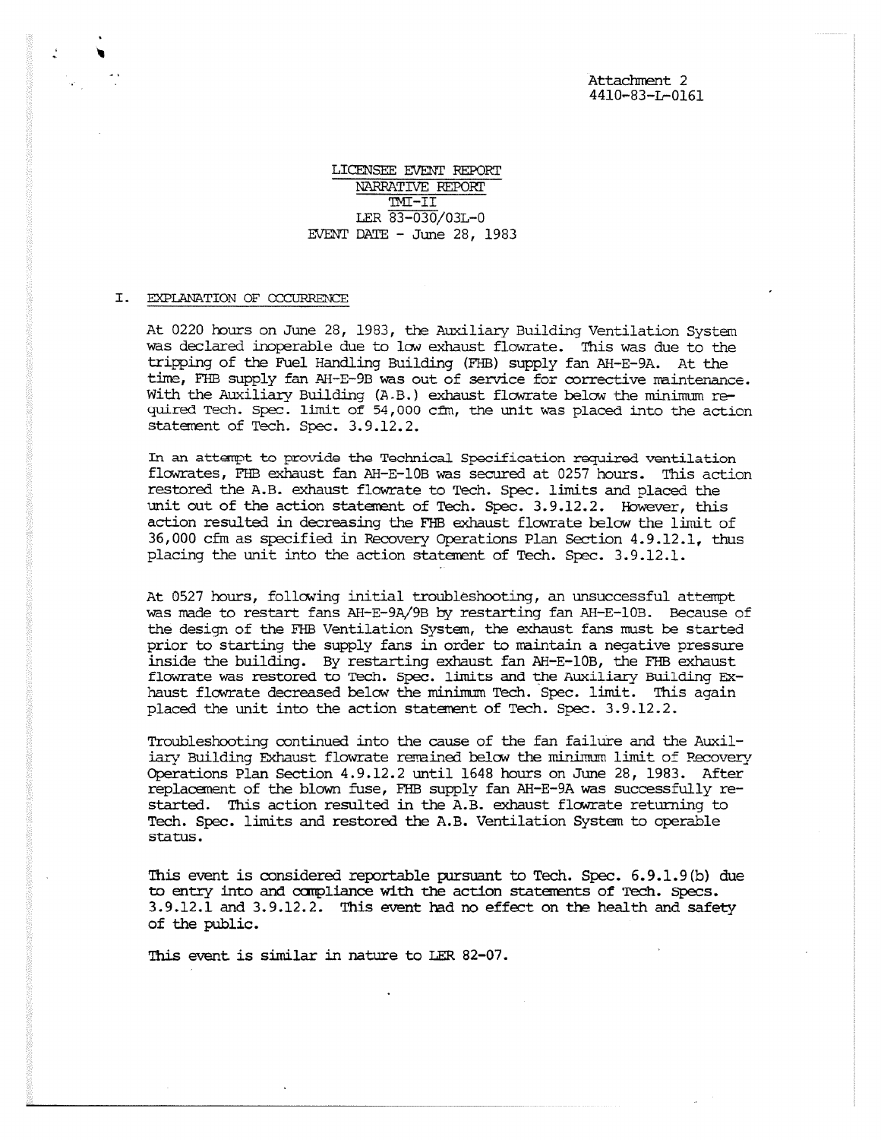Attachment 2 4410-83-L-0161

LICENSEE EVENT REPORT NARRATIVE REPORT II-II LER 83-030/03L-0 EVENT DATE - June 28, 1983

#### I. EXPLANATION OF OCCURRENCE

At 0220 hours on June 28, 1983, the Auxiliary Building Ventilation System was declared inoperable due to low exhaust flowrate. This was due to the tripping of the Fuel Handling Building (FHB) supply fan AH-E-9A. At the time, FHB supply fan AH-E-9B was out of service for corrective maintenance. With the Auxiliary Building (A.B.) exhaust flowrate below the minimum required Tech. Spec. limit of 54,000 cfm, the unit was placed into the action statement of Tech. Spec. 3.9.12.2.

In an attempt to provide the Technical Specification required ventilation flowrates, FHB exhaust fan AH-E-10B was secured at 0257 hours. This action restored the A.B. exhaust flowrate to Tech. Spec. limits and placed the unit out of the action statement of Tech. Spec. 3.9.12.2. However, this action resulted in decreasing the FHB exhaust flowrate below the limit of 36,000 cfm as specified in Recovery Operations Plan Section 4.9.12.1, thus placing the unit into the action statement of Tech. Spec. 3.9.12.1.

At 0527 hours, following initial troubleshooting, an unsuccessful attempt was made to restart fans AH-E-9A/9B by restarting fan AH-E-10B. Because of the design of the FHB Ventilation System, the exhaust fans must be started prior to starting the supply fans in order to maintain a negative pressure inside the building. By restarting exhaust fan AH-E-10B, the FHB exhaust flowrate was restored to Tech. Spec. limits and the Auxiliary Building Exhaust flowrate decreased below the minimum Tech. Spec. limit. This again placed the unit into the action statement of Tech. Spec. 3.9.12.2.

Troubleshooting continued into the cause of the fan failure and the Auxiliary Building Exhaust flowrate remained below the minimum limit of Recovery Operations Plan Section 4.9.12.2 until 1648 hours on June 28, 1983. After replacement of the blown fuse, FHB supply fan AH-E-9A was successfully restarted. This action resulted in the A.B. exhaust flowrate returning to Tech. Spec. limits and restored the A.B. Ventilation System to operable status.

This event is considered reportable pursuant to Tech. Spec. 6.9.1.9(b) due to entry into and canpliance with the action statements of Tech. Specs. 3.9.12.1 and 3.9.12.2. This event had no effect on the health and safety of the public.

This event is similar in nature to LER 82-07.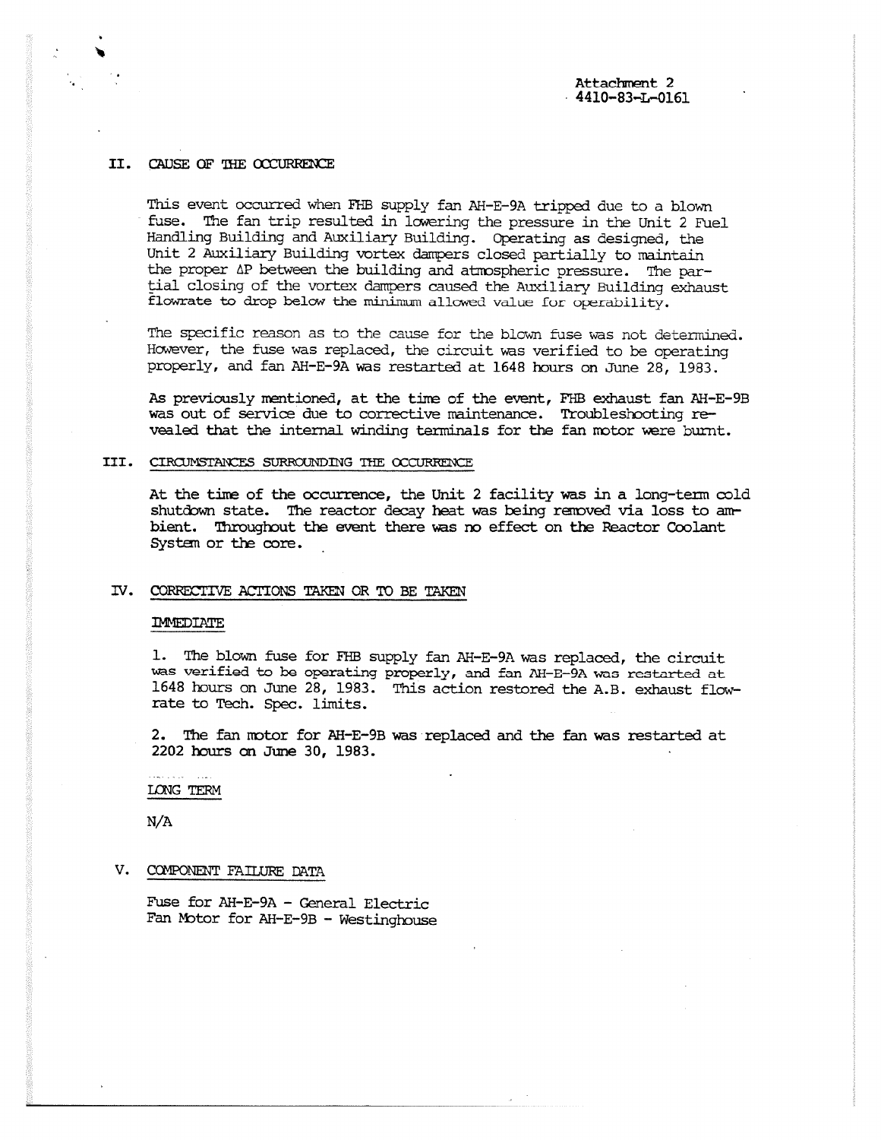## II. CAUSE OF THE OCCURRENCE

This event occurred when FHB supply fan AH-E-9A tripped due to a blown fuse. The fan trip resulted in lowering the pressure in the Unit 2 Fuel Handling Building and Auxiliary Building. Operating as designed, the Unit 2 Auxiliary Building vortex dampers closed partially to maintain the proper AP between the building and atmospheric pressure. The partial closing of the vortex dampers caused the Auxiliary Building exhaust flowrate to drop below the minimum allowed value for operability.

The specific reason as to the cause for the blown fuse was not determined. However, the fuse was replaced, the circuit was verified to be operating properly, and fan AH-E-9A was restarted at 1648 hours on June 28, 1983.

*As* previously mentioned, at the time of the event, FHB exhaust fan AH-E-9B was out of service due to corrective maintenance. Troubleshooting revealed that the internal winding terminals for the fan motor were burnt.

### III. CIRCUMSTANCES SURROUNDING THE OCCURRENCE

At the time of the occurrence, the Unit 2 facility was in a long-term cold shutdown state. The reactor decay heat was being removed via loss to ambient. Throughout the event there was no effect on the Reactor Coolant System or the core.

## IV. CORRECTIVE ACTIONS TAKEN OR TO BE TAKEN

#### IMMEDIATE

1. The blown fuse for FHB supply fan AH-E-9A was replaced, the circuit was verified to be operating properly, and fan AH-E-9A was restarted at 1648 hours on June 28, 1983. This action restored the A.B. exhaust flowrate to Tech. Spec. limits.

2. The fan motor for AH-E-9B was replaced and the fan was restarted at 2202 hours on June 30, 1983.

## LONG TERM

N/A

# V. COMPONENT FAILURE DATA

Fuse for AH-E-9A - General Electric Fan Motor for AH-E-9B - Westinghouse